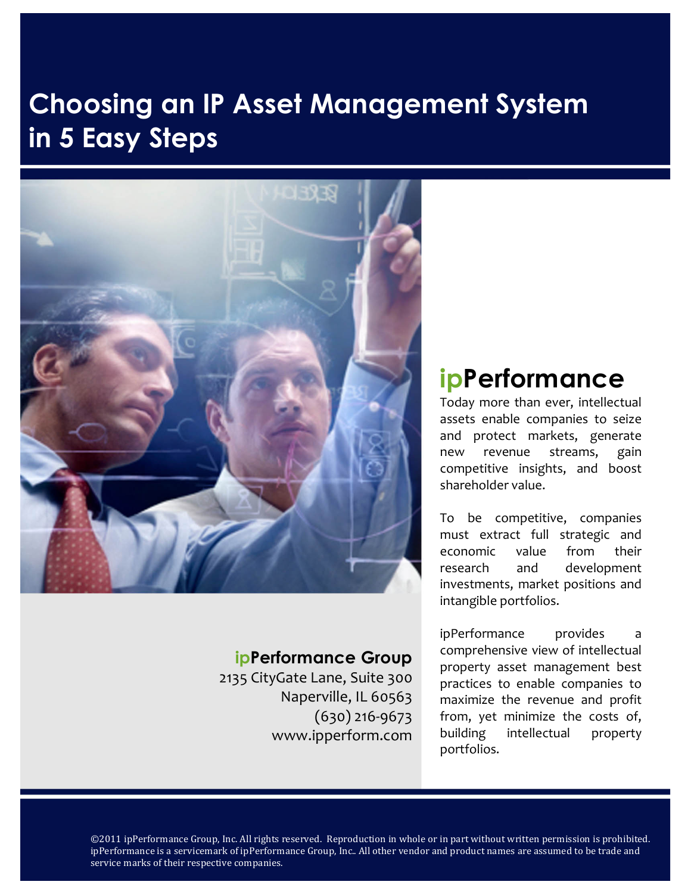### **Choosing an IP Asset Management System in 5 Easy Steps**



### **ipPerformance Group**

2135 CityGate Lane, Suite 300 Naperville, IL 60563  $(630)$  216-9673 www.ipperform.com

### **ipPerformance**

Today more than ever, intellectual assets enable companies to seize and protect markets, generate new revenue streams, gain competitive insights, and boost shareholder value.

To be competitive, companies must extract full strategic and economic value from their research and development investments, market positions and intangible portfolios.

ipPerformance provides a comprehensive view of intellectual property asset management best practices to enable companies to maximize the revenue and profit from, yet minimize the costs of, building intellectual property portfolios.

©2011 ipPerformance Group, Inc. All rights reserved. Reproduction in whole or in part without written permission is prohibited. ipPerformance is a servicemark of ipPerformance Group, Inc.. All other vendor and product names are assumed to be trade and service marks of their respective companies.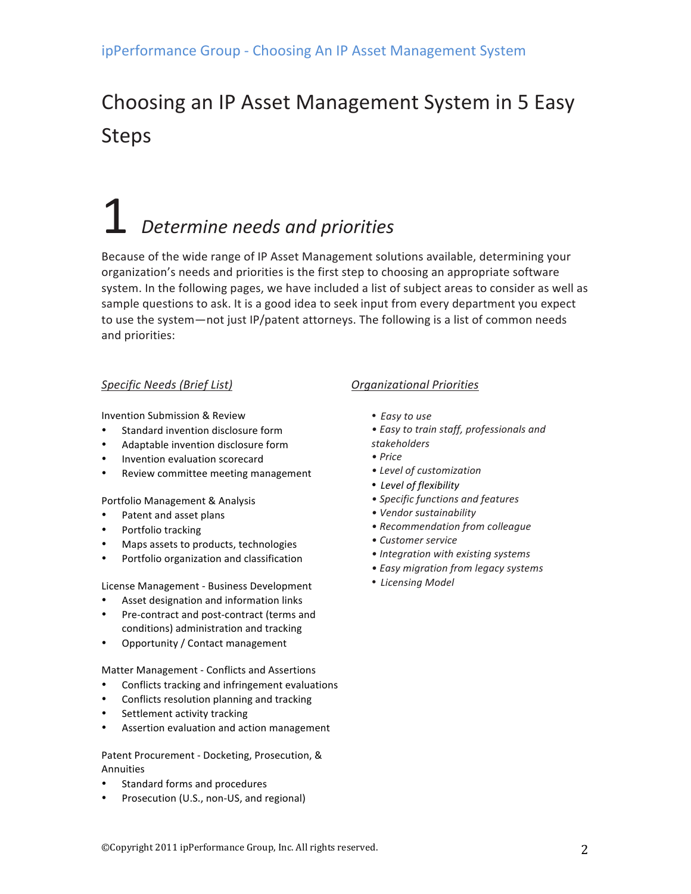### Choosing an IP Asset Management System in 5 Easy Steps

## **Determine needs and priorities**

Because of the wide range of IP Asset Management solutions available, determining your organization's needs and priorities is the first step to choosing an appropriate software system. In the following pages, we have included a list of subject areas to consider as well as sample questions to ask. It is a good idea to seek input from every department you expect to use the system—not just IP/patent attorneys. The following is a list of common needs and priorities:

#### **Specific Needs (Brief List)**

Invention Submission & Review

- Standard invention disclosure form
- Adaptable invention disclosure form
- Invention evaluation scorecard
- Review committee meeting management

Portfolio Management & Analysis

- Patent and asset plans
- Portfolio tracking
- Maps assets to products, technologies
- Portfolio organization and classification

License Management - Business Development

- Asset designation and information links
- Pre-contract and post-contract (terms and conditions) administration and tracking
- Opportunity / Contact management

Matter Management - Conflicts and Assertions

- Conflicts tracking and infringement evaluations
- Conflicts resolution planning and tracking
- Settlement activity tracking
- Assertion evaluation and action management

Patent Procurement - Docketing, Prosecution, & Annuities

- Standard forms and procedures
- Prosecution (U.S., non-US, and regional)

#### *Organizational(Priorities*

- Easy to use
- **Easy to train staff, professionals and**
- *stakeholders*
- *•(Price*
- Level of customization
- Level of flexibility
- **Specific functions and features**
- Vendor sustainability
- Recommendation from colleague
- Customer service
- Integration with existing systems
- *•(Easy(migration(from(legacy(systems*
- Licensing Model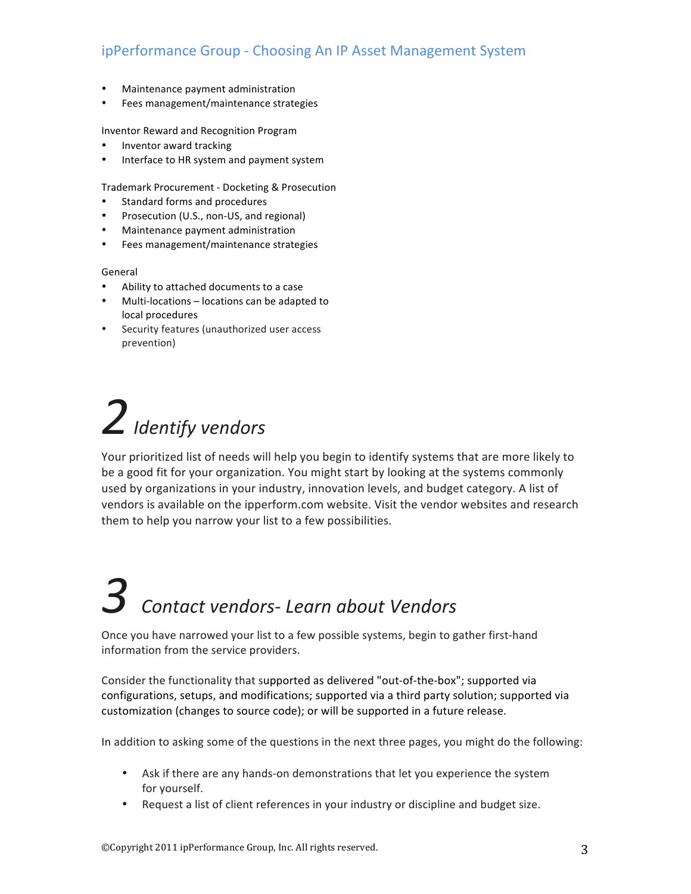- Maintenance payment administration
- Fees management/maintenance strategies

Inventor Reward and Recognition Program

- Inventor award tracking
- Interface to HR system and payment system

Trademark Procurement - Docketing & Prosecution

- Standard forms and procedures
- Prosecution (U.S., non-US, and regional)
- Maintenance payment administration
- Fees management/maintenance strategies

#### General

- Ability to attached documents to a case
- Multi-locations locations can be adapted to local procedures
- Security features (unauthorized user access prevention)

## 2 *Identify* vendors

Your prioritized list of needs will help you begin to identify systems that are more likely to be a good fit for your organization. You might start by looking at the systems commonly used by organizations in your industry, innovation levels, and budget category. A list of vendors is available on the ipperform.com website. Visit the vendor websites and research them to help you narrow your list to a few possibilities.

# $3$  *Contact vendors-Learn about Vendors*

Once you have narrowed your list to a few possible systems, begin to gather first-hand information from the service providers.

Consider the functionality that supported as delivered "out-of-the-box"; supported via configurations, setups, and modifications; supported via a third party solution; supported via customization (changes to source code); or will be supported in a future release.

In addition to asking some of the questions in the next three pages, you might do the following:

- Ask if there are any hands-on demonstrations that let you experience the system for yourself.
- Request a list of client references in your industry or discipline and budget size.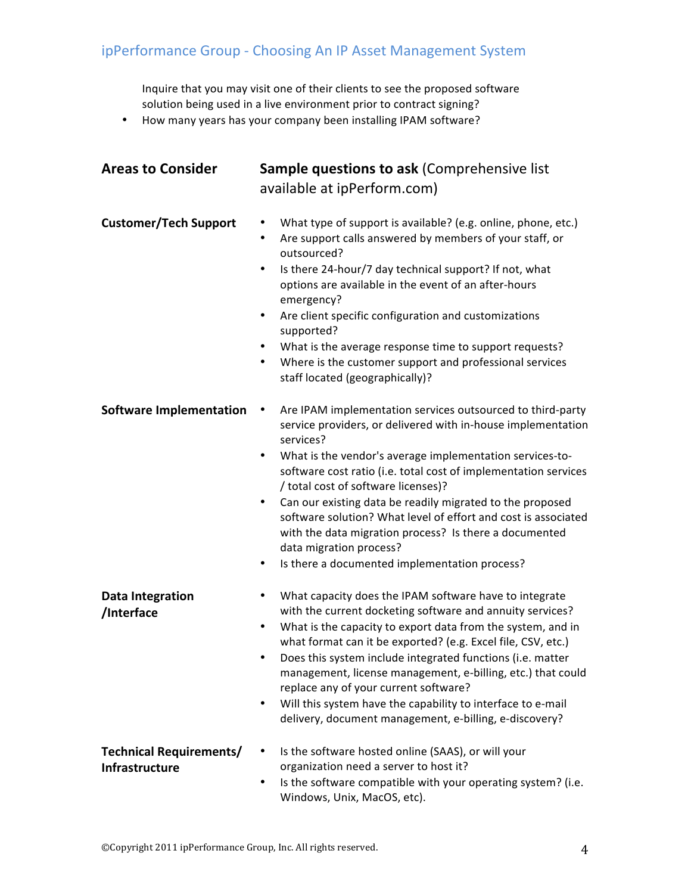Inquire that you may visit one of their clients to see the proposed software solution being used in a live environment prior to contract signing?

• How many years has your company been installing IPAM software?

| <b>Areas to Consider</b>                                | <b>Sample questions to ask (Comprehensive list</b><br>available at ipPerform.com)                                                                                                                                                                                                                                                                                                                                                                                                                                                                                                                                      |  |  |
|---------------------------------------------------------|------------------------------------------------------------------------------------------------------------------------------------------------------------------------------------------------------------------------------------------------------------------------------------------------------------------------------------------------------------------------------------------------------------------------------------------------------------------------------------------------------------------------------------------------------------------------------------------------------------------------|--|--|
| <b>Customer/Tech Support</b>                            | What type of support is available? (e.g. online, phone, etc.)<br>Are support calls answered by members of your staff, or<br>$\bullet$<br>outsourced?<br>Is there 24-hour/7 day technical support? If not, what<br>options are available in the event of an after-hours<br>emergency?<br>Are client specific configuration and customizations<br>$\bullet$<br>supported?<br>What is the average response time to support requests?<br>$\bullet$<br>Where is the customer support and professional services<br>٠<br>staff located (geographically)?                                                                      |  |  |
| <b>Software Implementation</b>                          | Are IPAM implementation services outsourced to third-party<br>٠<br>service providers, or delivered with in-house implementation<br>services?<br>What is the vendor's average implementation services-to-<br>$\bullet$<br>software cost ratio (i.e. total cost of implementation services<br>/ total cost of software licenses)?<br>Can our existing data be readily migrated to the proposed<br>$\bullet$<br>software solution? What level of effort and cost is associated<br>with the data migration process? Is there a documented<br>data migration process?<br>Is there a documented implementation process?<br>٠ |  |  |
| <b>Data Integration</b><br>/Interface                   | What capacity does the IPAM software have to integrate<br>with the current docketing software and annuity services?<br>What is the capacity to export data from the system, and in<br>٠<br>what format can it be exported? (e.g. Excel file, CSV, etc.)<br>Does this system include integrated functions (i.e. matter<br>$\bullet$<br>management, license management, e-billing, etc.) that could<br>replace any of your current software?<br>Will this system have the capability to interface to e-mail<br>$\bullet$<br>delivery, document management, e-billing, e-discovery?                                       |  |  |
| <b>Technical Requirements/</b><br><b>Infrastructure</b> | Is the software hosted online (SAAS), or will your<br>organization need a server to host it?<br>Is the software compatible with your operating system? (i.e.<br>٠<br>Windows, Unix, MacOS, etc).                                                                                                                                                                                                                                                                                                                                                                                                                       |  |  |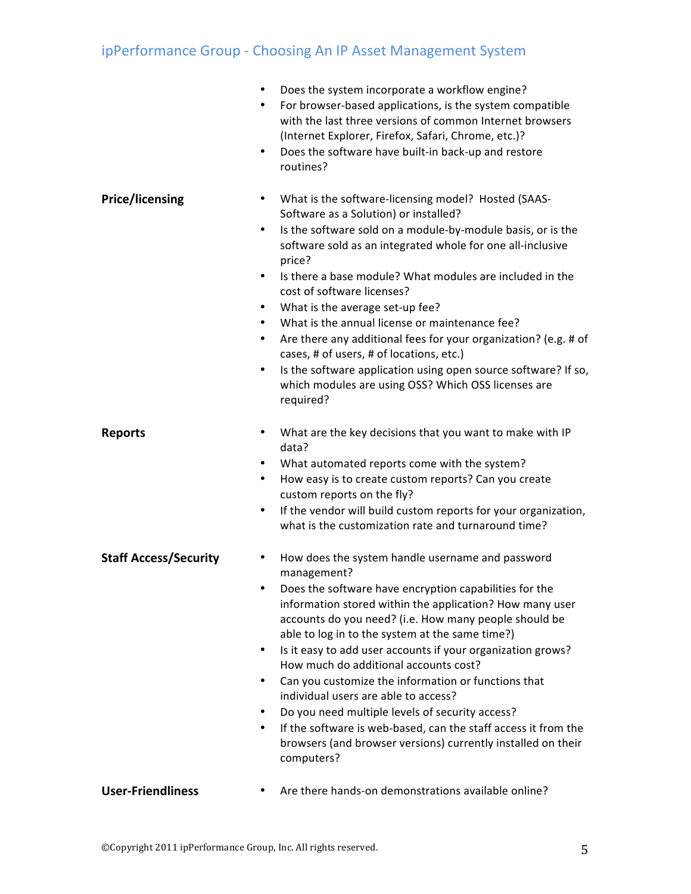|                              | Does the system incorporate a workflow engine?<br>٠<br>For browser-based applications, is the system compatible<br>with the last three versions of common Internet browsers<br>(Internet Explorer, Firefox, Safari, Chrome, etc.)?<br>Does the software have built-in back-up and restore<br>$\bullet$<br>routines?                                                                                                                                                                                                                                                                                                                                                                                                                     |
|------------------------------|-----------------------------------------------------------------------------------------------------------------------------------------------------------------------------------------------------------------------------------------------------------------------------------------------------------------------------------------------------------------------------------------------------------------------------------------------------------------------------------------------------------------------------------------------------------------------------------------------------------------------------------------------------------------------------------------------------------------------------------------|
| <b>Price/licensing</b>       | What is the software-licensing model? Hosted (SAAS-<br>Software as a Solution) or installed?<br>Is the software sold on a module-by-module basis, or is the<br>٠<br>software sold as an integrated whole for one all-inclusive<br>price?<br>Is there a base module? What modules are included in the<br>$\bullet$<br>cost of software licenses?<br>What is the average set-up fee?<br>What is the annual license or maintenance fee?<br>$\bullet$<br>Are there any additional fees for your organization? (e.g. # of<br>٠<br>cases, # of users, # of locations, etc.)<br>Is the software application using open source software? If so,<br>٠<br>which modules are using OSS? Which OSS licenses are<br>required?                        |
| <b>Reports</b>               | What are the key decisions that you want to make with IP<br>data?<br>What automated reports come with the system?<br>٠<br>How easy is to create custom reports? Can you create<br>$\bullet$<br>custom reports on the fly?<br>If the vendor will build custom reports for your organization,<br>٠<br>what is the customization rate and turnaround time?                                                                                                                                                                                                                                                                                                                                                                                 |
| <b>Staff Access/Security</b> | How does the system handle username and password<br>management?<br>Does the software have encryption capabilities for the<br>information stored within the application? How many user<br>accounts do you need? (i.e. How many people should be<br>able to log in to the system at the same time?)<br>Is it easy to add user accounts if your organization grows?<br>٠<br>How much do additional accounts cost?<br>Can you customize the information or functions that<br>$\bullet$<br>individual users are able to access?<br>Do you need multiple levels of security access?<br>٠<br>If the software is web-based, can the staff access it from the<br>٠<br>browsers (and browser versions) currently installed on their<br>computers? |
| <b>User-Friendliness</b>     | Are there hands-on demonstrations available online?                                                                                                                                                                                                                                                                                                                                                                                                                                                                                                                                                                                                                                                                                     |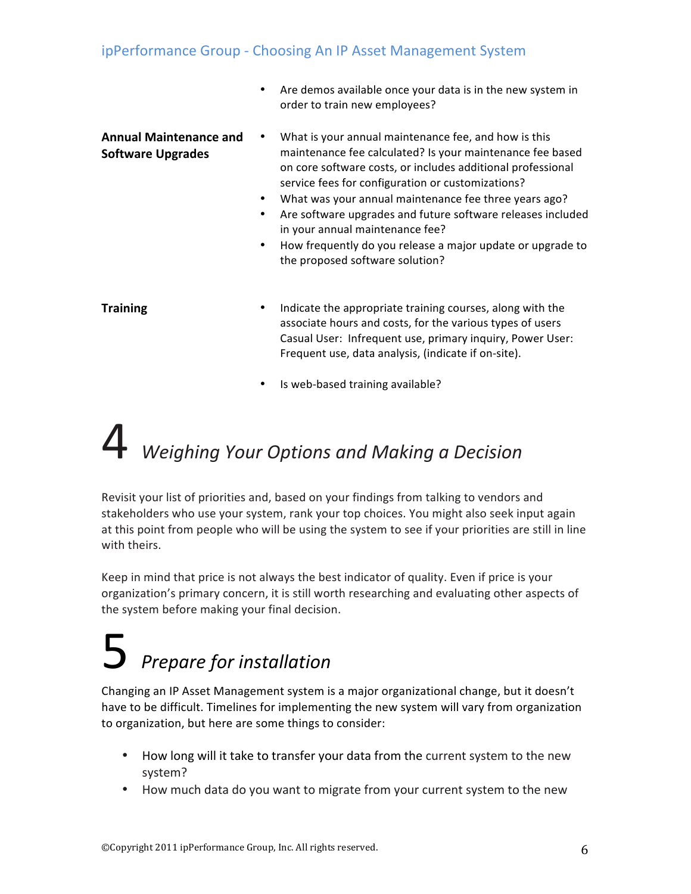• Are demos available once your data is in the new system in order to train new employees?

| <b>Annual Maintenance and</b> | What is your annual maintenance fee, and how is this        |
|-------------------------------|-------------------------------------------------------------|
| <b>Software Upgrades</b>      | maintenance fee calculated? Is your maintenance fee based   |
|                               | on core software costs, or includes additional professional |
|                               | service fees for configuration or customizations?           |

- What was your annual maintenance fee three years ago?
- Are software upgrades and future software releases included in your annual maintenance fee?
- How frequently do you release a major update or upgrade to the proposed software solution?

- **Training <b>•** Indicate the appropriate training courses, along with the associate hours and costs, for the various types of users Casual User: Infrequent use, primary inquiry, Power User: Frequent use, data analysis, (indicate if on-site).
	- Is web-based training available?

## 4!*Weighing(Your(Options(and(Making(a(Decision*

Revisit your list of priorities and, based on your findings from talking to vendors and stakeholders who use your system, rank your top choices. You might also seek input again at this point from people who will be using the system to see if your priorities are still in line with theirs.

Keep in mind that price is not always the best indicator of quality. Even if price is your organization's primary concern, it is still worth researching and evaluating other aspects of the system before making your final decision.

## $5$  *Prepare for installation*

Changing an IP Asset Management system is a major organizational change, but it doesn't have to be difficult. Timelines for implementing the new system will vary from organization to organization, but here are some things to consider:

- How long will it take to transfer your data from the current system to the new system?!
- How much data do you want to migrate from your current system to the new